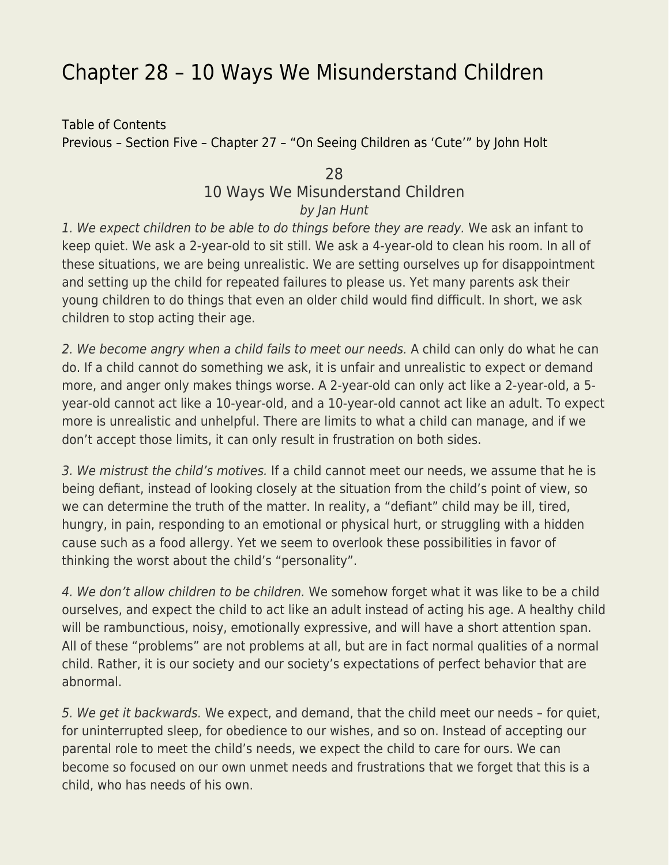## [Chapter 28 – 10 Ways We Misunderstand Children](https://everything-voluntary.com/everything-voluntary-chapter-28)

[Table of Contents](http://everything-voluntary.com/p/book-project.html) [Previous – Section Five – Chapter 27 – "On Seeing Children as 'Cute'" by John Holt](http://everything-voluntary.com/2012/04/everything-voluntary-chapter-27.html)

## 28 10 Ways We Misunderstand Children by Jan Hunt

1. We expect children to be able to do things before they are ready. We ask an infant to keep quiet. We ask a 2-year-old to sit still. We ask a 4-year-old to clean his room. In all of these situations, we are being unrealistic. We are setting ourselves up for disappointment and setting up the child for repeated failures to please us. Yet many parents ask their young children to do things that even an older child would find difficult. In short, we ask children to stop acting their age.

2. We become angry when a child fails to meet our needs. A child can only do what he can do. If a child cannot do something we ask, it is unfair and unrealistic to expect or demand more, and anger only makes things worse. A 2-year-old can only act like a 2-year-old, a 5 year-old cannot act like a 10-year-old, and a 10-year-old cannot act like an adult. To expect more is unrealistic and unhelpful. There are limits to what a child can manage, and if we don't accept those limits, it can only result in frustration on both sides.

3. We mistrust the child's motives. If a child cannot meet our needs, we assume that he is being defiant, instead of looking closely at the situation from the child's point of view, so we can determine the truth of the matter. In reality, a "defiant" child may be ill, tired, hungry, in pain, responding to an emotional or physical hurt, or struggling with a hidden cause such as a food allergy. Yet we seem to overlook these possibilities in favor of thinking the worst about the child's "personality".

4. We don't allow children to be children. We somehow forget what it was like to be a child ourselves, and expect the child to act like an adult instead of acting his age. A healthy child will be rambunctious, noisy, emotionally expressive, and will have a short attention span. All of these "problems" are not problems at all, but are in fact normal qualities of a normal child. Rather, it is our society and our society's expectations of perfect behavior that are abnormal.

5. We get it backwards. We expect, and demand, that the child meet our needs – for quiet, for uninterrupted sleep, for obedience to our wishes, and so on. Instead of accepting our parental role to meet the child's needs, we expect the child to care for ours. We can become so focused on our own unmet needs and frustrations that we forget that this is a child, who has needs of his own.